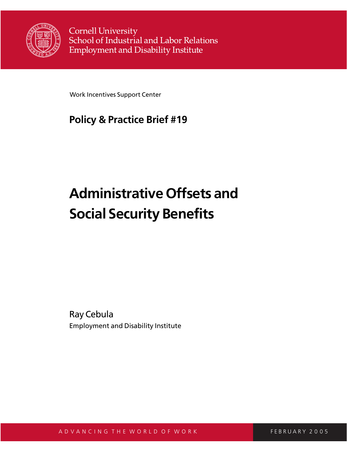

**Cornell University** School of Industrial and Labor Relations **Employment and Disability Institute** 

Work Incentives Support Center

## **Policy & Practice Brief #19**

# **Administrative Offsets and Social Security Benefits**

Ray Cebula Employment and Disability Institute

A D V A N C I N G T H E W O R L D O F W O R K F F F F F F F F F F F F F F F F RU A R Y 2005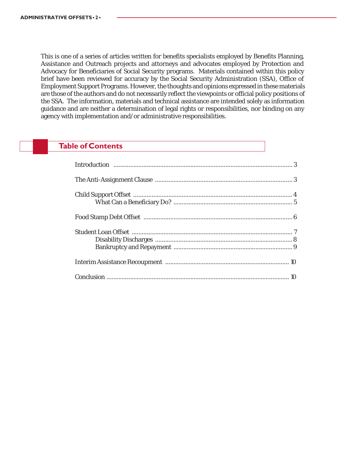This is one of a series of articles written for benefits specialists employed by Benefits Planning, Assistance and Outreach projects and attorneys and advocates employed by Protection and Advocacy for Beneficiaries of Social Security programs. Materials contained within this policy brief have been reviewed for accuracy by the Social Security Administration (SSA), Office of Employment Support Programs. However, the thoughts and opinions expressed in these materials are those of the authors and do not necessarily reflect the viewpoints or official policy positions of the SSA. The information, materials and technical assistance are intended solely as information guidance and are neither a determination of legal rights or responsibilities, nor binding on any agency with implementation and/or administrative responsibilities.

#### **Table of Contents**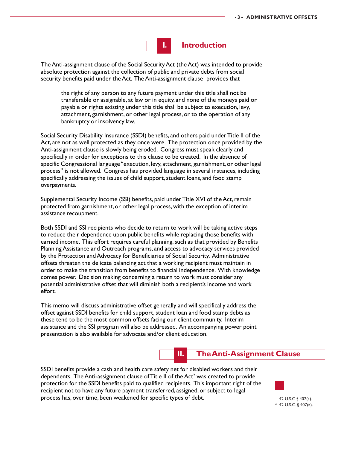

The Anti-assignment clause of the Social Security Act (the Act) was intended to provide absolute protection against the collection of public and private debts from social security benefits paid under the Act. The Anti-assignment clause<sup>1</sup> provides that

the right of any person to any future payment under this title shall not be transferable or assignable, at law or in equity, and none of the moneys paid or payable or rights existing under this title shall be subject to execution, levy, attachment, garnishment, or other legal process, or to the operation of any bankruptcy or insolvency law.

Social Security Disability Insurance (SSDI) benefits, and others paid under Title II of the Act, are not as well protected as they once were. The protection once provided by the Anti-assignment clause is slowly being eroded. Congress must speak clearly and specifically in order for exceptions to this clause to be created. In the absence of specific Congressional language "execution, levy, attachment, garnishment, or other legal process" is not allowed. Congress has provided language in several instances, including specifically addressing the issues of child support, student loans, and food stamp overpayments.

Supplemental Security Income (SSI) benefits, paid under Title XVI of the Act, remain protected from garnishment, or other legal process, with the exception of interim assistance recoupment.

Both SSDI and SSI recipients who decide to return to work will be taking active steps to reduce their dependence upon public benefits while replacing those benefits with earned income. This effort requires careful planning, such as that provided by Benefits Planning Assistance and Outreach programs, and access to advocacy services provided by the Protection and Advocacy for Beneficiaries of Social Security. Administrative offsets threaten the delicate balancing act that a working recipient must maintain in order to make the transition from benefits to financial independence. With knowledge comes power. Decision making concerning a return to work must consider any potential administrative offset that will diminish both a recipient's income and work effort.

This memo will discuss administrative offset generally and will specifically address the offset against SSDI benefits for child support, student loan and food stamp debts as these tend to be the most common offsets facing our client community. Interim assistance and the SSI program will also be addressed. An accompanying power point presentation is also available for advocate and/or client education.

#### **II. The Anti-Assignment Clause**

SSDI benefits provide a cash and health care safety net for disabled workers and their dependents. The Anti-assignment clause of Title II of the Act<sup>2</sup> was created to provide protection for the SSDI benefits paid to qualified recipients. This important right of the recipient not to have any future payment transferred, assigned, or subject to legal process has, over time, been weakened for specific types of debt.  $\vert$  42 U.S.C § 407(a).

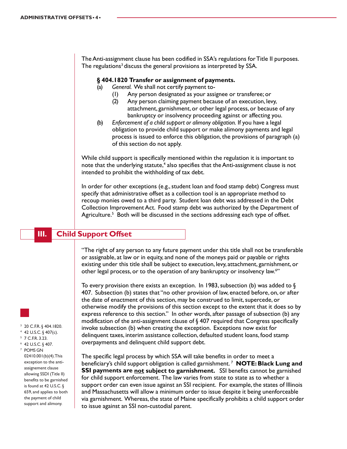The Anti-assignment clause has been codified in SSA's regulations for Title II purposes. The regulations<sup>3</sup> discuss the general provisions as interpreted by SSA.

#### **§ 404.1820 Transfer or assignment of payments.**

- (a) *General.* We shall not certify payment to-
	- (1) Any person designated as your assignee or transferee; or
	- (2) Any person claiming payment because of an execution, levy, attachment, garnishment, or other legal process, or because of any bankruptcy or insolvency proceeding against or affecting you.
- (b) *Enforcement of a child support or alimony obligation.* If you have a legal obligation to provide child support or make alimony payments and legal process is issued to enforce this obligation, the provisions of paragraph (a) of this section do not apply.

While child support is specifically mentioned within the regulation it is important to note that the underlying statute,<sup>4</sup> also specifies that the Anti-assignment clause is not intended to prohibit the withholding of tax debt.

In order for other exceptions (e.g., student loan and food stamp debt) Congress must specify that administrative offset as a collection tool is an appropriate method to recoup monies owed to a third party. Student loan debt was addressed in the Debt Collection Improvement Act. Food stamp debt was authorized by the Department of Agriculture.<sup>5</sup> Both will be discussed in the sections addressing each type of offset.

#### **III. Child Support Offset**

"The right of any person to any future payment under this title shall not be transferable or assignable, at law or in equity, and none of the moneys paid or payable or rights existing under this title shall be subject to execution, levy, attachment, garnishment, or other legal process, or to the operation of any bankruptcy or insolvency law.<sup>6</sup>"

To every provision there exists an exception. In 1983, subsection (b) was added to  $\S$ 407. Subsection (b) states that "no other provision of law, enacted before, on, or after the date of enactment of this section, may be construed to limit, supercede, or otherwise modify the provisions of this section except to the extent that it does so by express reference to this section." In other words, after passage of subsection (b) any modification of the anti-assignment clause of § 407 required that Congress specifically invoke subsection (b) when creating the exception. Exceptions now exist for delinquent taxes, interim assistance collection, defaulted student loans, food stamp overpayments and delinquent child support debt.

The specific legal process by which SSA will take benefits in order to meet a beneficiary's child support obligation is called garnishment. 7 **NOTE: Black Lung and SSI payments are not subject to garnishment.** SSI benefits cannot be garnished for child support enforcement. The law varies from state to state as to whether a support order can even issue against an SSI recipient. For example, the states of Illinois and Massachusetts will allow a minimum order to issue despite it being unenforceable via garnishment. Whereas, the state of Maine specifically prohibits a child support order to issue against an SSI non-custodial parent.

- 
- <sup>3</sup> 20 C.F.R. § 404.1820.
- $4$  42 U.S.C. § 407(c).
- <sup>5</sup> 7 C.F.R. 3.23.
- <sup>6</sup> 42 U.S.C. § 407.

<sup>7</sup> POMS GN 02410.001(b)(4). This exception to the antiassignement clause allowing SSDI (Title II) benefits to be garnished is found at 42 U.S.C. § 659, and applies to both the payment of child support and alimony.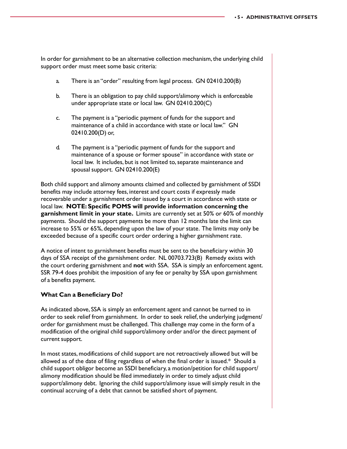In order for garnishment to be an alternative collection mechanism, the underlying child support order must meet some basic criteria:

- a. There is an "order" resulting from legal process. GN 02410.200(B)
- b. There is an obligation to pay child support/alimony which is enforceable under appropriate state or local law. GN 02410.200(C)
- c. The payment is a "periodic payment of funds for the support and maintenance of a child in accordance with state or local law." GN 02410.200(D) or,
- d. The payment is a "periodic payment of funds for the support and maintenance of a spouse or former spouse" in accordance with state or local law. It includes, but is not limited to, separate maintenance and spousal support. GN 02410.200(E)

Both child support and alimony amounts claimed and collected by garnishment of SSDI benefits may include attorney fees, interest and court costs if expressly made recoverable under a garnishment order issued by a court in accordance with state or local law. **NOTE: Specific POMS will provide information concerning the garnishment limit in your state.** Limits are currently set at 50% or 60% of monthly payments. Should the support payments be more than 12 months late the limit can increase to 55% or 65%, depending upon the law of your state. The limits may only be exceeded because of a specific court order ordering a higher garnishment rate.

A notice of intent to garnishment benefits must be sent to the beneficiary within 30 days of SSA receipt of the garnishment order. NL 00703.723(B) Remedy exists with the court ordering garnishment and **not** with SSA. SSA is simply an enforcement agent. SSR 79-4 does prohibit the imposition of any fee or penalty by SSA upon garnishment of a benefits payment.

#### **What Can a Beneficiary Do?**

As indicated above, SSA is simply an enforcement agent and cannot be turned to in order to seek relief from garnishment. In order to seek relief, the underlying judgment/ order for garnishment must be challenged. This challenge may come in the form of a modification of the original child support/alimony order and/or the direct payment of current support.

In most states, modifications of child support are not retroactively allowed but will be allowed as of the date of filing regardless of when the final order is issued.\* Should a child support obligor become an SSDI beneficiary, a motion/petition for child support/ alimony modification should be filed immediately in order to timely adjust child support/alimony debt. Ignoring the child support/alimony issue will simply result in the continual accruing of a debt that cannot be satisfied short of payment.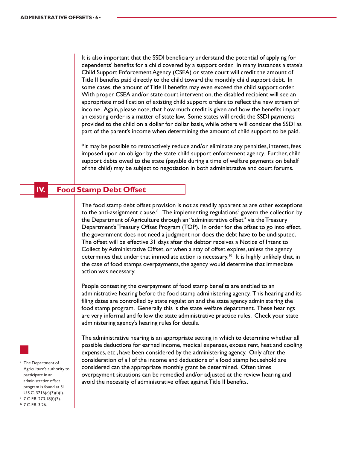It is also important that the SSDI beneficiary understand the potential of applying for dependents' benefits for a child covered by a support order. In many instances a state's Child Support Enforcement Agency (CSEA) or state court will credit the amount of Title II benefits paid directly to the child toward the monthly child support debt. In some cases, the amount of Title II benefits may even exceed the child support order. With proper CSEA and/or state court intervention, the disabled recipient will see an appropriate modification of existing child support orders to reflect the new stream of income. Again, please note, that how much credit is given and how the benefits impact an existing order is a matter of state law. Some states will credit the SSDI payments provided to the child on a dollar for dollar basis, while others will consider the SSDI as part of the parent's income when determining the amount of child support to be paid.

\*It may be possible to retroactively reduce and/or eliminate any penalties, interest, fees imposed upon an obligor by the state child support enforcement agency. Further, child support debts owed to the state (payable during a time of welfare payments on behalf of the child) may be subject to negotiation in both administrative and court forums.

#### **IV. Food Stamp Debt Offset**

The food stamp debt offset provision is not as readily apparent as are other exceptions to the anti-assignment clause.<sup>8</sup> The implementing regulations<sup>9</sup> govern the collection by the Department of Agriculture through an "administrative offset" via the Treasury Department's Treasury Offset Program (TOP). In order for the offset to go into effect, the government does not need a judgment nor does the debt have to be undisputed. The offset will be effective 31 days after the debtor receives a Notice of Intent to Collect by Administrative Offset, or when a stay of offset expires, unless the agency determines that under that immediate action is necessary.<sup>10</sup> It is highly unlikely that, in the case of food stamps overpayments, the agency would determine that immediate action was necessary.

People contesting the overpayment of food stamp benefits are entitled to an administrative hearing before the food stamp administering agency. This hearing and its filing dates are controlled by state regulation and the state agency administering the food stamp program. Generally this is the state welfare department. These hearings are very informal and follow the state administrative practice rules. Check your state administering agency's hearing rules for details.

The administrative hearing is an appropriate setting in which to determine whether all possible deductions for earned income, medical expenses, excess rent, heat and cooling expenses, etc., have been considered by the administering agency. Only after the consideration of all of the income and deductions of a food stamp household are considered can the appropriate monthly grant be determined. Often times overpayment situations can be remedied and/or adjusted at the review hearing and avoid the necessity of administrative offset against Title II benefits.

<sup>8</sup> The Department of Agriculture's authority to participate in an administrative offset program is found at 31 U.S.C.  $3716(c)(3)(i)(l)$ .  $97$  C.F.R. 273.18(f)(7). <sup>10</sup> 7 C.F.R. 3.26.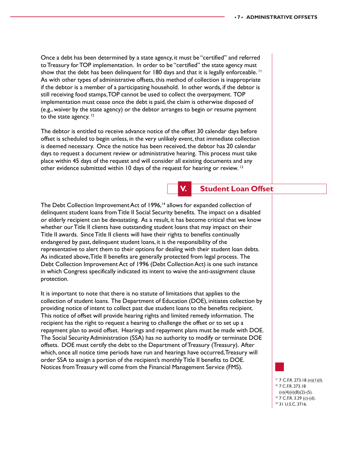Once a debt has been determined by a state agency, it must be "certified" and referred to Treasury for TOP implementation. In order to be "certified" the state agency must show that the debt has been delinquent for 180 days and that it is legally enforceable.<sup>11</sup> As with other types of administrative offsets, this method of collection is inappropriate if the debtor is a member of a participating household. In other words, if the debtor is still receiving food stamps, TOP cannot be used to collect the overpayment. TOP implementation must cease once the debt is paid, the claim is otherwise disposed of (e.g., waiver by the state agency) or the debtor arranges to begin or resume payment to the state agency.  $12$ 

The debtor is entitled to receive advance notice of the offset 30 calendar days before offset is scheduled to begin unless, in the very unlikely event, that immediate collection is deemed necessary. Once the notice has been received, the debtor has 20 calendar days to request a document review or administrative hearing. This process must take place within 45 days of the request and will consider all existing documents and any other evidence submitted within 10 days of the request for hearing or review. 13

#### **V. Student Loan Offset**

The Debt Collection Improvement Act of 1996,<sup>14</sup> allows for expanded collection of delinquent student loans from Title II Social Security benefits. The impact on a disabled or elderly recipient can be devastating. As a result, it has become critical that we know whether our Title II clients have outstanding student loans that may impact on their Title II awards. Since Title II clients will have their rights to benefits continually endangered by past, delinquent student loans, it is the responsibility of the representative to alert them to their options for dealing with their student loan debts. As indicated above, Title II benefits are generally protected from legal process. The Debt Collection Improvement Act of 1996 (Debt Collection Act) is one such instance in which Congress specifically indicated its intent to waive the anti-assignment clause protection.

It is important to note that there is no statute of limitations that applies to the collection of student loans. The Department of Education (DOE), initiates collection by providing notice of intent to collect past due student loans to the benefits recipient. This notice of offset will provide hearing rights and limited remedy information. The recipient has the right to request a hearing to challenge the offset or to set up a repayment plan to avoid offset. Hearings and repayment plans must be made with DOE. The Social Security Administration (SSA) has no authority to modify or terminate DOE offsets. DOE must certify the debt to the Department of Treasury (Treasury). After which, once all notice time periods have run and hearings have occurred, Treasury will order SSA to assign a portion of the recipient's monthly Title II benefits to DOE. Notices from Treasury will come from the Financial Management Service (FMS).



- <sup>13</sup> 7 C.F.R. 3.29 (c)-(d).
- <sup>14</sup> 31 U.S.C. 3716.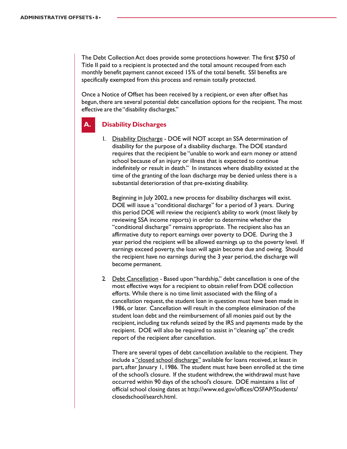The Debt Collection Act does provide some protections however. The first \$750 of Title II paid to a recipient is protected and the total amount recouped from each monthly benefit payment cannot exceed 15% of the total benefit. SSI benefits are specifically exempted from this process and remain totally protected.

Once a Notice of Offset has been received by a recipient, or even after offset has begun, there are several potential debt cancellation options for the recipient. The most effective are the "disability discharges."

#### **A. Disability Discharges**

1. Disability Discharge - DOE will NOT accept an SSA determination of disability for the purpose of a disability discharge. The DOE standard requires that the recipient be "unable to work and earn money or attend school because of an injury or illness that is expected to continue indefinitely or result in death." In instances where disability existed at the time of the granting of the loan discharge may be denied unless there is a substantial deterioration of that pre-existing disability.

Beginning in July 2002, a new process for disability discharges will exist. DOE will issue a "conditional discharge" for a period of 3 years. During this period DOE will review the recipient's ability to work (most likely by reviewing SSA income reports) in order to determine whether the "conditional discharge" remains appropriate. The recipient also has an affirmative duty to report earnings over poverty to DOE. During the 3 year period the recipient will be allowed earnings up to the poverty level. If earnings exceed poverty, the loan will again become due and owing. Should the recipient have no earnings during the 3 year period, the discharge will become permanent.

2. Debt Cancellation - Based upon "hardship," debt cancellation is one of the most effective ways for a recipient to obtain relief from DOE collection efforts. While there is no time limit associated with the filing of a cancellation request, the student loan in question must have been made in 1986, or later. Cancellation will result in the complete elimination of the student loan debt and the reimbursement of all monies paid out by the recipient, including tax refunds seized by the IRS and payments made by the recipient. DOE will also be required to assist in "cleaning up" the credit report of the recipient after cancellation.

There are several types of debt cancellation available to the recipient. They include a "closed school discharge" available for loans received, at least in part, after January 1, 1986. The student must have been enrolled at the time of the school's closure. If the student withdrew, the withdrawal must have occurred within 90 days of the school's closure. DOE maintains a list of official school closing dates at http://www.ed.gov/offices/OSFAP/Students/ closedschool/search.html.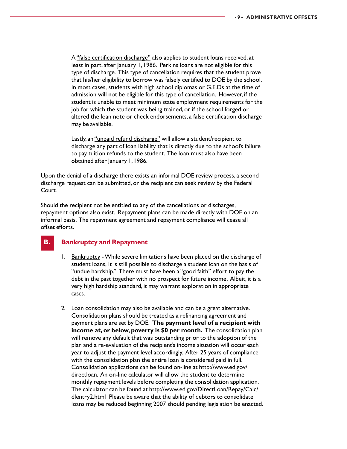A "false certification discharge" also applies to student loans received, at least in part, after January 1, 1986. Perkins loans are not eligible for this type of discharge. This type of cancellation requires that the student prove that his/her eligibility to borrow was falsely certified to DOE by the school. In most cases, students with high school diplomas or G.E.Ds at the time of admission will not be eligible for this type of cancellation. However, if the student is unable to meet minimum state employment requirements for the job for which the student was being trained, or if the school forged or altered the loan note or check endorsements, a false certification discharge may be available.

Lastly, an "unpaid refund discharge" will allow a student/recipient to discharge any part of loan liability that is directly due to the school's failure to pay tuition refunds to the student. The loan must also have been obtained after January 1, 1986.

Upon the denial of a discharge there exists an informal DOE review process, a second discharge request can be submitted, or the recipient can seek review by the Federal Court.

Should the recipient not be entitled to any of the cancellations or discharges, repayment options also exist. Repayment plans can be made directly with DOE on an informal basis. The repayment agreement and repayment compliance will cease all offset efforts.

#### **B. Bankruptcy and Repayment**

- 1. Bankruptcy While severe limitations have been placed on the discharge of student loans, it is still possible to discharge a student loan on the basis of "undue hardship." There must have been a "good faith" effort to pay the debt in the past together with no prospect for future income. Albeit, it is a very high hardship standard, it may warrant exploration in appropriate cases.
- 2 Loan consolidation may also be available and can be a great alternative. Consolidation plans should be treated as a refinancing agreement and payment plans are set by DOE. **The payment level of a recipient with income at, or below, poverty is \$0 per month.** The consolidation plan will remove any default that was outstanding prior to the adoption of the plan and a re-evaluation of the recipient's income situation will occur each year to adjust the payment level accordingly. After 25 years of compliance with the consolidation plan the entire loan is considered paid in full. Consolidation applications can be found on-line at http://www.ed.gov/ directloan. An on-line calculator will allow the student to determine monthly repayment levels before completing the consolidation application. The calculator can be found at http://www.ed.gov/DirectLoan/Repay/Calc/ dlentry2.html Please be aware that the ability of debtors to consolidate loans may be reduced beginning 2007 should pending legislation be enacted.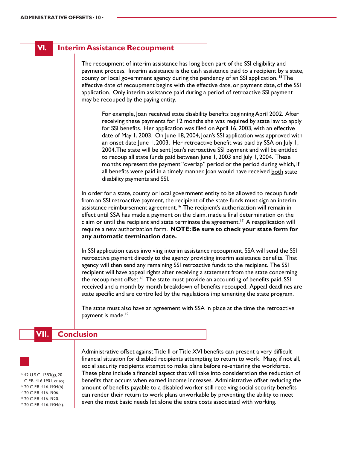#### **VI. Interim Assistance Recoupment**

The recoupment of interim assistance has long been part of the SSI eligibility and payment process. Interim assistance is the cash assistance paid to a recipient by a state, county or local government agency during the pendency of an SSI application. 15 The effective date of recoupment begins with the effective date, or payment date, of the SSI application. Only interim assistance paid during a period of retroactive SSI payment may be recouped by the paying entity.

For example, Joan received state disability benefits beginning April 2002. After receiving these payments for 12 months she was required by state law to apply for SSI benefits. Her application was filed on April 16, 2003, with an effective date of May 1, 2003. On June 18, 2004, Joan's SSI application was approved with an onset date June 1, 2003. Her retroactive benefit was paid by SSA on July 1, 2004. The state will be sent Joan's retroactive SSI payment and will be entitled to recoup all state funds paid between June 1, 2003 and July 1, 2004. These months represent the payment "overlap" period or the period during which, if all benefits were paid in a timely manner, Joan would have received both state disability payments and SSI.

In order for a state, county or local government entity to be allowed to recoup funds from an SSI retroactive payment, the recipient of the state funds must sign an interim assistance reimbursement agreement.<sup>16</sup> The recipient's authorization will remain in effect until SSA has made a payment on the claim, made a final determination on the claim or until the recipient and state terminate the agreement.<sup>17</sup> A reapplication will require a new authorization form. **NOTE: Be sure to check your state form for any automatic termination date.**

In SSI application cases involving interim assistance recoupment, SSA will send the SSI retroactive payment directly to the agency providing interim assistance benefits. That agency will then send any remaining SSI retroactive funds to the recipient. The SSI recipient will have appeal rights after receiving a statement from the state concerning the recoupment offset.<sup>18</sup> The state must provide an accounting of benefits paid, SSI received and a month by month breakdown of benefits recouped. Appeal deadlines are state specific and are controlled by the regulations implementing the state program.

The state must also have an agreement with SSA in place at the time the retroactive payment is made.<sup>19</sup>

#### **VII. Conclusion**

 42 U.S.C. 1383(g), 20 C.F.R. 416.1901, *et seq*. 16 20 C.F.R. 416.1904(b). 20 C.F.R. 416.1906. 20 C.F.R. 416.1920. 20 C.F.R. 416.1904(a).

Administrative offset against Title II or Title XVI benefits can present a very difficult financial situation for disabled recipients attempting to return to work. Many, if not all, social security recipients attempt to make plans before re-entering the workforce. These plans include a financial aspect that will take into consideration the reduction of benefits that occurs when earned income increases. Administrative offset reducing the amount of benefits payable to a disabled worker still receiving social security benefits can render their return to work plans unworkable by preventing the ability to meet even the most basic needs let alone the extra costs associated with working.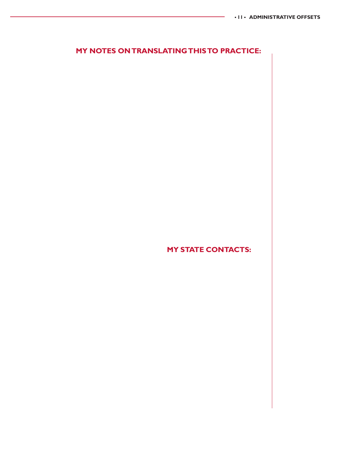### **MY NOTES ON TRANSLATING THIS TO PRACTICE:**

**MY STATE CONTACTS:**